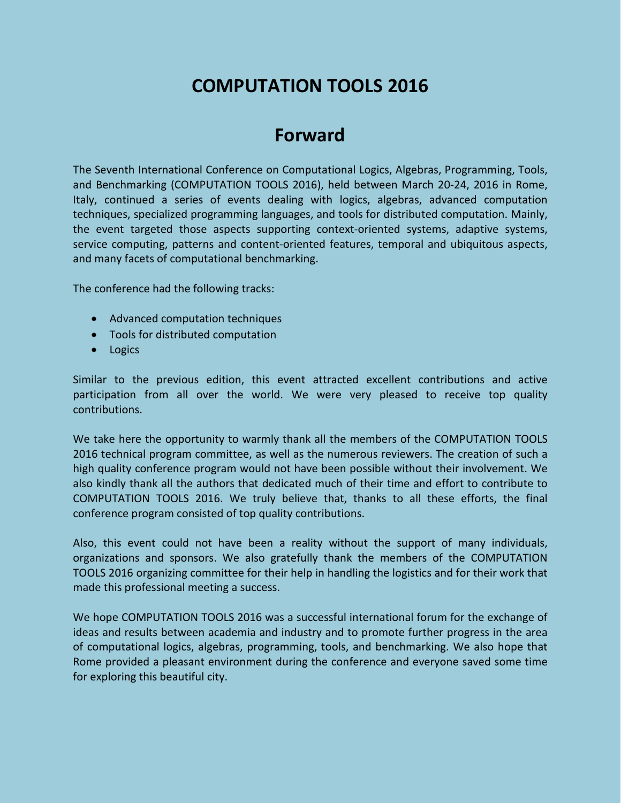# **COMPUTATION TOOLS 2016**

# **Forward**

The Seventh International Conference on Computational Logics, Algebras, Programming, Tools, and Benchmarking (COMPUTATION TOOLS 2016), held between March 20-24, 2016 in Rome, Italy, continued a series of events dealing with logics, algebras, advanced computation techniques, specialized programming languages, and tools for distributed computation. Mainly, the event targeted those aspects supporting context-oriented systems, adaptive systems, service computing, patterns and content-oriented features, temporal and ubiquitous aspects, and many facets of computational benchmarking.

The conference had the following tracks:

- Advanced computation techniques
- Tools for distributed computation
- Logics

Similar to the previous edition, this event attracted excellent contributions and active participation from all over the world. We were very pleased to receive top quality contributions.

We take here the opportunity to warmly thank all the members of the COMPUTATION TOOLS 2016 technical program committee, as well as the numerous reviewers. The creation of such a high quality conference program would not have been possible without their involvement. We also kindly thank all the authors that dedicated much of their time and effort to contribute to COMPUTATION TOOLS 2016. We truly believe that, thanks to all these efforts, the final conference program consisted of top quality contributions.

Also, this event could not have been a reality without the support of many individuals, organizations and sponsors. We also gratefully thank the members of the COMPUTATION TOOLS 2016 organizing committee for their help in handling the logistics and for their work that made this professional meeting a success.

We hope COMPUTATION TOOLS 2016 was a successful international forum for the exchange of ideas and results between academia and industry and to promote further progress in the area of computational logics, algebras, programming, tools, and benchmarking. We also hope that Rome provided a pleasant environment during the conference and everyone saved some time for exploring this beautiful city.